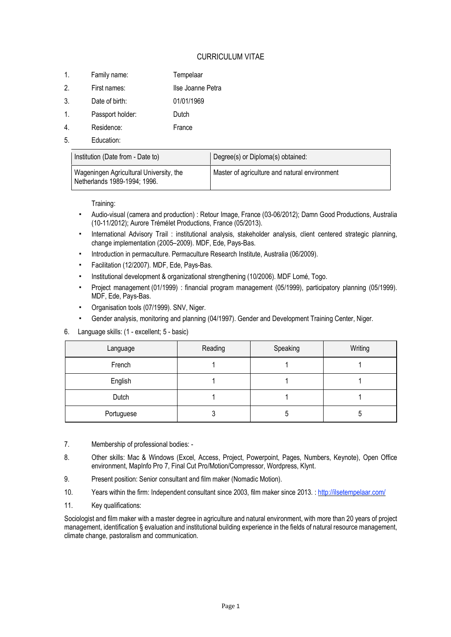# CURRICULUM VITAE

- 1. Family name: Tempelaar
- 2. First names: Ilse Joanne Petra
- 3. Date of birth: 01/01/1969
- 1. Passport holder: Dutch
- 4. Residence: France
- 5. Education:

| Institution (Date from - Date to)                                       | Degree(s) or Diploma(s) obtained:             |
|-------------------------------------------------------------------------|-----------------------------------------------|
| Wageningen Agricultural University, the<br>Netherlands 1989-1994; 1996. | Master of agriculture and natural environment |

Training:

- Audio-visual (camera and production) : Retour Image, France (03-06/2012); Damn Good Productions, Australia (10-11/2012); Aurore Trémélet Productions, France (05/2013).
- International Advisory Trail : institutional analysis, stakeholder analysis, client centered strategic planning, change implementation (2005–2009). MDF, Ede, Pays-Bas.
- Introduction in permaculture. Permaculture Research Institute, Australia (06/2009).
- Facilitation (12/2007). MDF, Ede, Pays-Bas.
- Institutional development & organizational strengthening (10/2006). MDF Lomé, Togo.
- Project management (01/1999) : financial program management (05/1999), participatory planning (05/1999). MDF, Ede, Pays-Bas.
- Organisation tools (07/1999). SNV, Niger.
- Gender analysis, monitoring and planning (04/1997). Gender and Development Training Center, Niger.
- 6. Language skills: (1 excellent; 5 basic)

| Language   | Reading | Speaking | Writing |
|------------|---------|----------|---------|
| French     |         |          |         |
| English    |         |          |         |
| Dutch      |         |          |         |
| Portuguese |         | 5        | C       |

- 7. Membership of professional bodies: -
- 8. Other skills: Mac & Windows (Excel, Access, Project, Powerpoint, Pages, Numbers, Keynote), Open Office environment, MapInfo Pro 7, Final Cut Pro/Motion/Compressor, Wordpress, Klynt.
- 9. Present position: Senior consultant and film maker (Nomadic Motion).
- 10. Years within the firm: Independent consultant since 2003, film maker since 2013. : <http://ilsetempelaar.com/>
- 11. Key qualifications:

Sociologist and film maker with a master degree in agriculture and natural environment, with more than 20 years of project management, identification § evaluation and institutional building experience in the fields of natural resource management, climate change, pastoralism and communication.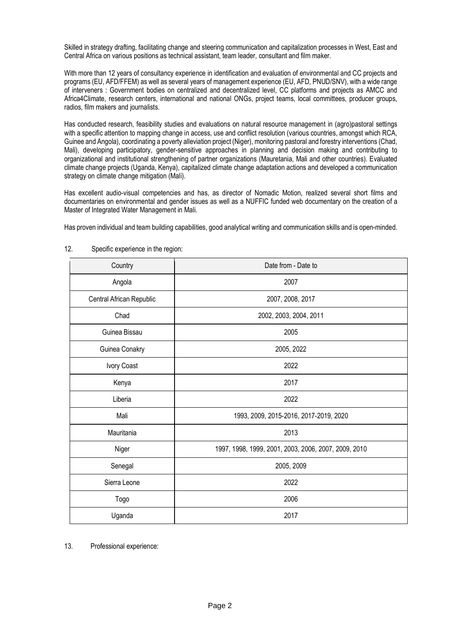Skilled in strategy drafting, facilitating change and steering communication and capitalization processes in West, East and Central Africa on various positions as technical assistant, team leader, consultant and film maker.

With more than 12 years of consultancy experience in identification and evaluation of environmental and CC projects and programs (EU, AFD/FFEM) as well as several years of management experience (EU, AFD, PNUD/SNV), with a wide range of interveners : Government bodies on centralized and decentralized level, CC platforms and projects as AMCC and Africa4Climate, research centers, international and national ONGs, project teams, local committees, producer groups, radios, film makers and journalists.

Has conducted research, feasibility studies and evaluations on natural resource management in (agro)pastoral settings with a specific attention to mapping change in access, use and conflict resolution (various countries, amongst which RCA, Guinee and Angola), coordinating a poverty alleviation project (Niger), monitoring pastoral and forestry interventions (Chad, Mali), developing participatory, gender-sensitive approaches in planning and decision making and contributing to organizational and institutional strengthening of partner organizations (Mauretania, Mali and other countries). Evaluated climate change projects (Uganda, Kenya), capitalized climate change adaptation actions and developed a communication strategy on climate change mitigation (Mali).

Has excellent audio-visual competencies and has, as director of Nomadic Motion, realized several short films and documentaries on environmental and gender issues as well as a NUFFIC funded web documentary on the creation of a Master of Integrated Water Management in Mali.

Has proven individual and team building capabilities, good analytical writing and communication skills and is open-minded.

| Country                  | Date from - Date to                                  |
|--------------------------|------------------------------------------------------|
| Angola                   | 2007                                                 |
| Central African Republic | 2007, 2008, 2017                                     |
| Chad                     | 2002, 2003, 2004, 2011                               |
| Guinea Bissau            | 2005                                                 |
| Guinea Conakry           | 2005, 2022                                           |
| Ivory Coast              | 2022                                                 |
| Kenya                    | 2017                                                 |
| Liberia                  | 2022                                                 |
| Mali                     | 1993, 2009, 2015-2016, 2017-2019, 2020               |
| Mauritania               | 2013                                                 |
| Niger                    | 1997, 1998, 1999, 2001, 2003, 2006, 2007, 2009, 2010 |
| Senegal                  | 2005, 2009                                           |
| Sierra Leone             | 2022                                                 |
| Togo                     | 2006                                                 |
| Uganda                   | 2017                                                 |

#### 12. Specific experience in the region:

13. Professional experience: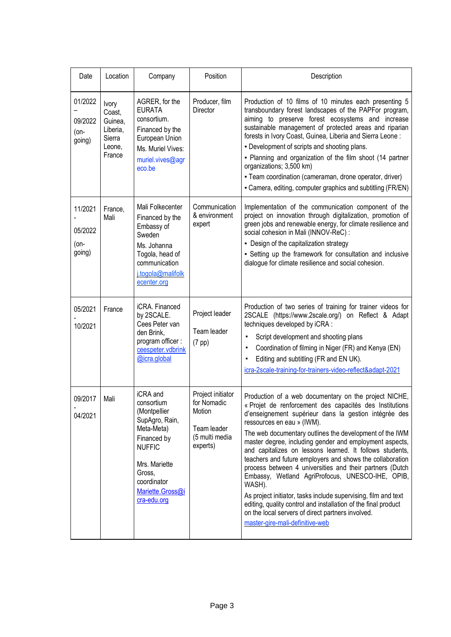| Date                                 | Location                                                             | Company                                                                                                                                                                             | Position                                                                                | Description                                                                                                                                                                                                                                                                                                                                                                                                                                                                                                                                                                                                                                                                                                                                                                                                  |
|--------------------------------------|----------------------------------------------------------------------|-------------------------------------------------------------------------------------------------------------------------------------------------------------------------------------|-----------------------------------------------------------------------------------------|--------------------------------------------------------------------------------------------------------------------------------------------------------------------------------------------------------------------------------------------------------------------------------------------------------------------------------------------------------------------------------------------------------------------------------------------------------------------------------------------------------------------------------------------------------------------------------------------------------------------------------------------------------------------------------------------------------------------------------------------------------------------------------------------------------------|
| 01/2022<br>09/2022<br>(on-<br>going) | Ivory<br>Coast,<br>Guinea,<br>Liberia,<br>Sierra<br>Leone,<br>France | AGRER, for the<br><b>EURATA</b><br>consortium.<br>Financed by the<br>European Union<br>Ms. Muriel Vives:<br>muriel.vives@agr<br>eco.be                                              | Producer, film<br>Director                                                              | Production of 10 films of 10 minutes each presenting 5<br>transboundary forest landscapes of the PAPFor program,<br>aiming to preserve forest ecosystems and increase<br>sustainable management of protected areas and riparian<br>forests in Ivory Coast, Guinea, Liberia and Sierra Leone:<br>- Development of scripts and shooting plans.<br>- Planning and organization of the film shoot (14 partner<br>organizations; 3,500 km)<br>- Team coordination (cameraman, drone operator, driver)<br>- Camera, editing, computer graphics and subtitling (FR/EN)                                                                                                                                                                                                                                              |
| 11/2021<br>05/2022<br>(on-<br>going) | France,<br>Mali                                                      | Mali Folkecenter<br>Financed by the<br>Embassy of<br>Sweden<br>Ms. Johanna<br>Togola, head of<br>communication<br>i.togola@malifolk<br>ecenter.org                                  | Communication<br>& environment<br>expert                                                | Implementation of the communication component of the<br>project on innovation through digitalization, promotion of<br>green jobs and renewable energy, for climate resilience and<br>social cohesion in Mali (INNOV-ReC) :<br>- Design of the capitalization strategy<br>- Setting up the framework for consultation and inclusive<br>dialogue for climate resilience and social cohesion.                                                                                                                                                                                                                                                                                                                                                                                                                   |
| 05/2021<br>10/2021                   | France                                                               | iCRA. Financed<br>by 2SCALE.<br>Cees Peter van<br>den Brink,<br>program officer:<br>ceespeter.vdbrink<br>@icra.global                                                               | Project leader<br>Team leader<br>$(7$ pp $)$                                            | Production of two series of training for trainer videos for<br>2SCALE (https://www.2scale.org/) on Reflect & Adapt<br>techniques developed by iCRA :<br>Script development and shooting plans<br>٠<br>Coordination of filming in Niger (FR) and Kenya (EN)<br>٠<br>Editing and subtitling (FR and EN UK).<br>٠<br>icra-2scale-training-for-trainers-video-reflect&adapt-2021                                                                                                                                                                                                                                                                                                                                                                                                                                 |
| 09/2017<br>04/2021                   | Mali                                                                 | iCRA and<br>consortium<br>(Montpellier<br>SupAgro, Rain,<br>Meta-Meta)<br>Financed by<br><b>NUFFIC</b><br>Mrs. Mariette<br>Gross,<br>coordinator<br>Mariette.Gross@i<br>cra-edu.org | Project initiator<br>for Nomadic<br>Motion<br>Team leader<br>(5 multi media<br>experts) | Production of a web documentary on the project NICHE,<br>« Projet de renforcement des capacités des Institutions<br>d'enseignement supérieur dans la gestion intégrée des<br>ressources en eau » (IWM).<br>The web documentary outlines the development of the IWM<br>master degree, including gender and employment aspects,<br>and capitalizes on lessons learned. It follows students,<br>teachers and future employers and shows the collaboration<br>process between 4 universities and their partners (Dutch<br>Embassy, Wetland AgriProfocus, UNESCO-IHE, OPIB,<br>WASH).<br>As project initiator, tasks include supervising, film and text<br>editing, quality control and installation of the final product<br>on the local servers of direct partners involved.<br>master-gire-mali-definitive-web |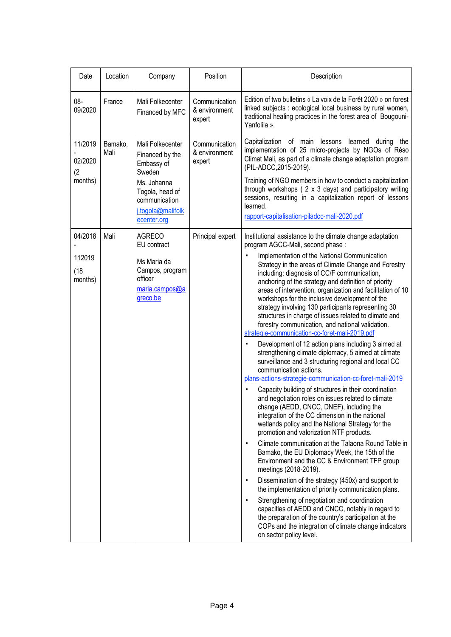| Date                                 | Location        | Company                                                                                                                                            | Position                                 | Description                                                                                                                                                                                                                                                                                                                                                                                                                                                                                                                                                                                                                                                                                                                                                                                                                                                                                                                                                                                                                                                                                                                                                                                                                                                                                                                                                                                                                                                                                                                                                                                                                                                                                                                                                                                                                 |
|--------------------------------------|-----------------|----------------------------------------------------------------------------------------------------------------------------------------------------|------------------------------------------|-----------------------------------------------------------------------------------------------------------------------------------------------------------------------------------------------------------------------------------------------------------------------------------------------------------------------------------------------------------------------------------------------------------------------------------------------------------------------------------------------------------------------------------------------------------------------------------------------------------------------------------------------------------------------------------------------------------------------------------------------------------------------------------------------------------------------------------------------------------------------------------------------------------------------------------------------------------------------------------------------------------------------------------------------------------------------------------------------------------------------------------------------------------------------------------------------------------------------------------------------------------------------------------------------------------------------------------------------------------------------------------------------------------------------------------------------------------------------------------------------------------------------------------------------------------------------------------------------------------------------------------------------------------------------------------------------------------------------------------------------------------------------------------------------------------------------------|
| $08 -$<br>09/2020                    | France          | Mali Folkecenter<br>Financed by MFC                                                                                                                | Communication<br>& environment<br>expert | Edition of two bulletins « La voix de la Forêt 2020 » on forest<br>linked subjects : ecological local business by rural women,<br>traditional healing practices in the forest area of Bougouni-<br>Yanfolila ».                                                                                                                                                                                                                                                                                                                                                                                                                                                                                                                                                                                                                                                                                                                                                                                                                                                                                                                                                                                                                                                                                                                                                                                                                                                                                                                                                                                                                                                                                                                                                                                                             |
| 11/2019<br>02/2020<br>(2<br>months)  | Bamako,<br>Mali | Mali Folkecenter<br>Financed by the<br>Embassy of<br>Sweden<br>Ms. Johanna<br>Togola, head of<br>communication<br>i.togola@malifolk<br>ecenter.org | Communication<br>& environment<br>expert | Capitalization of main lessons<br>learned during the<br>implementation of 25 micro-projects by NGOs of Réso<br>Climat Mali, as part of a climate change adaptation program<br>(PIL-ADCC, 2015-2019).<br>Training of NGO members in how to conduct a capitalization<br>through workshops (2 x 3 days) and participatory writing<br>sessions, resulting in a capitalization report of lessons<br>learned.<br>rapport-capitalisation-piladcc-mali-2020.pdf                                                                                                                                                                                                                                                                                                                                                                                                                                                                                                                                                                                                                                                                                                                                                                                                                                                                                                                                                                                                                                                                                                                                                                                                                                                                                                                                                                     |
| 04/2018<br>112019<br>(18)<br>months) | Mali            | <b>AGRECO</b><br>EU contract<br>Ms Maria da<br>Campos, program<br>officer<br>maria.campos@a<br>greco.be                                            | Principal expert                         | Institutional assistance to the climate change adaptation<br>program AGCC-Mali, second phase:<br>Implementation of the National Communication<br>Strategy in the areas of Climate Change and Forestry<br>including: diagnosis of CC/F communication,<br>anchoring of the strategy and definition of priority<br>areas of intervention, organization and facilitation of 10<br>workshops for the inclusive development of the<br>strategy involving 130 participants representing 30<br>structures in charge of issues related to climate and<br>forestry communication, and national validation.<br>strategie-communication-cc-foret-mali-2019.pdf<br>Development of 12 action plans including 3 aimed at<br>strengthening climate diplomacy, 5 aimed at climate<br>surveillance and 3 structuring regional and local CC<br>communication actions.<br>plans-actions-strategie-communication-cc-foret-mali-2019<br>Capacity building of structures in their coordination<br>and negotiation roles on issues related to climate<br>change (AEDD, CNCC, DNEF), including the<br>integration of the CC dimension in the national<br>wetlands policy and the National Strategy for the<br>promotion and valorization NTF products.<br>Climate communication at the Talaona Round Table in<br>$\blacksquare$<br>Bamako, the EU Diplomacy Week, the 15th of the<br>Environment and the CC & Environment TFP group<br>meetings (2018-2019).<br>Dissemination of the strategy (450x) and support to<br>٠<br>the implementation of priority communication plans.<br>Strengthening of negotiation and coordination<br>$\blacksquare$<br>capacities of AEDD and CNCC, notably in regard to<br>the preparation of the country's participation at the<br>COPs and the integration of climate change indicators<br>on sector policy level. |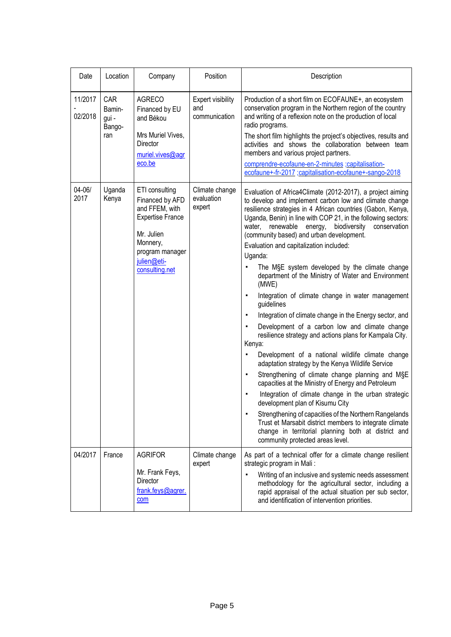| Date               | Location                                | Company                                                                                                                                                      | Position                                         | Description                                                                                                                                                                                                                                                                                                                                                                                                                                                                                                                                                                                                                                                                                                                                                                                                                                                                                                                                                                                                                                                                                                                                                                                                                                                                                                                                                                                   |
|--------------------|-----------------------------------------|--------------------------------------------------------------------------------------------------------------------------------------------------------------|--------------------------------------------------|-----------------------------------------------------------------------------------------------------------------------------------------------------------------------------------------------------------------------------------------------------------------------------------------------------------------------------------------------------------------------------------------------------------------------------------------------------------------------------------------------------------------------------------------------------------------------------------------------------------------------------------------------------------------------------------------------------------------------------------------------------------------------------------------------------------------------------------------------------------------------------------------------------------------------------------------------------------------------------------------------------------------------------------------------------------------------------------------------------------------------------------------------------------------------------------------------------------------------------------------------------------------------------------------------------------------------------------------------------------------------------------------------|
| 11/2017<br>02/2018 | CAR<br>Bamin-<br>gui -<br>Bango-<br>ran | <b>AGRECO</b><br>Financed by EU<br>and Békou<br>Mrs Muriel Vives,<br>Director<br>muriel.vives@agr<br>eco.be                                                  | <b>Expert visibility</b><br>and<br>communication | Production of a short film on ECOFAUNE+, an ecosystem<br>conservation program in the Northern region of the country<br>and writing of a reflexion note on the production of local<br>radio programs.<br>The short film highlights the project's objectives, results and<br>activities and shows the collaboration between team<br>members and various project partners.<br>comprendre-ecofaune-en-2-minutes ;capitalisation-<br>ecofaune+-fr-2017 ;capitalisation-ecofaune+-sango-2018                                                                                                                                                                                                                                                                                                                                                                                                                                                                                                                                                                                                                                                                                                                                                                                                                                                                                                        |
| $04 - 06/$<br>2017 | Uganda<br>Kenya                         | ETI consulting<br>Financed by AFD<br>and FFEM, with<br><b>Expertise France</b><br>Mr. Julien<br>Monnery,<br>program manager<br>julien@eti-<br>consulting.net | Climate change<br>evaluation<br>expert           | Evaluation of Africa4Climate (2012-2017), a project aiming<br>to develop and implement carbon low and climate change<br>resilience strategies in 4 African countries (Gabon, Kenya,<br>Uganda, Benin) in line with COP 21, in the following sectors:<br>renewable energy,<br>biodiversity<br>conservation<br>water,<br>(community based) and urban development.<br>Evaluation and capitalization included:<br>Uganda:<br>The M§E system developed by the climate change<br>٠<br>department of the Ministry of Water and Environment<br>(MWE)<br>Integration of climate change in water management<br>٠<br>guidelines<br>Integration of climate change in the Energy sector, and<br>$\blacksquare$<br>Development of a carbon low and climate change<br>$\blacksquare$<br>resilience strategy and actions plans for Kampala City.<br>Kenya:<br>Development of a national wildlife climate change<br>٠<br>adaptation strategy by the Kenya Wildlife Service<br>Strengthening of climate change planning and MSE<br>٠<br>capacities at the Ministry of Energy and Petroleum<br>Integration of climate change in the urban strategic<br>в<br>development plan of Kisumu City<br>Strengthening of capacities of the Northern Rangelands<br>٠<br>Trust et Marsabit district members to integrate climate<br>change in territorial planning both at district and<br>community protected areas level. |
| 04/2017            | France                                  | <b>AGRIFOR</b><br>Mr. Frank Feys,<br>Director<br>frank.feys@agrer.<br>com                                                                                    | Climate change<br>expert                         | As part of a technical offer for a climate change resilient<br>strategic program in Mali:<br>Writing of an inclusive and systemic needs assessment<br>methodology for the agricultural sector, including a<br>rapid appraisal of the actual situation per sub sector,<br>and identification of intervention priorities.                                                                                                                                                                                                                                                                                                                                                                                                                                                                                                                                                                                                                                                                                                                                                                                                                                                                                                                                                                                                                                                                       |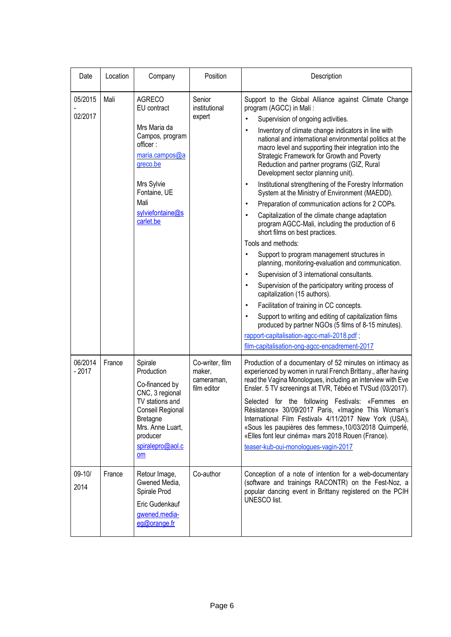| Date               | Location | Company                                                                                                                                                                          | Position                                               | Description                                                                                                                                                                                                                                                                                                                                                                                                                                                                                                                                                                                                                                                                                                                                                                                                                                                                                                                                                                                                                                                                                                                                                                                                                                                                                                                                                                                                         |
|--------------------|----------|----------------------------------------------------------------------------------------------------------------------------------------------------------------------------------|--------------------------------------------------------|---------------------------------------------------------------------------------------------------------------------------------------------------------------------------------------------------------------------------------------------------------------------------------------------------------------------------------------------------------------------------------------------------------------------------------------------------------------------------------------------------------------------------------------------------------------------------------------------------------------------------------------------------------------------------------------------------------------------------------------------------------------------------------------------------------------------------------------------------------------------------------------------------------------------------------------------------------------------------------------------------------------------------------------------------------------------------------------------------------------------------------------------------------------------------------------------------------------------------------------------------------------------------------------------------------------------------------------------------------------------------------------------------------------------|
| 05/2015<br>02/2017 | Mali     | <b>AGRECO</b><br>EU contract<br>Mrs Maria da<br>Campos, program<br>officer:<br>maria.campos@a<br>greco.be<br>Mrs Sylvie<br>Fontaine, UE<br>Mali<br>sylviefontaine@s<br>carlet.be | Senior<br>institutional<br>expert                      | Support to the Global Alliance against Climate Change<br>program (AGCC) in Mali:<br>Supervision of ongoing activities.<br>Inventory of climate change indicators in line with<br>$\blacksquare$<br>national and international environmental politics at the<br>macro level and supporting their integration into the<br>Strategic Framework for Growth and Poverty<br>Reduction and partner programs (GIZ, Rural<br>Development sector planning unit).<br>Institutional strengthening of the Forestry Information<br>$\blacksquare$<br>System at the Ministry of Environment (MAEDD).<br>Preparation of communication actions for 2 COPs.<br>$\blacksquare$<br>Capitalization of the climate change adaptation<br>$\blacksquare$<br>program AGCC-Mali, including the production of 6<br>short films on best practices.<br>Tools and methods:<br>Support to program management structures in<br>$\blacksquare$<br>planning, monitoring-evaluation and communication.<br>Supervision of 3 international consultants.<br>٠<br>Supervision of the participatory writing process of<br>$\blacksquare$<br>capitalization (15 authors).<br>Facilitation of training in CC concepts.<br>٠<br>Support to writing and editing of capitalization films<br>$\blacksquare$<br>produced by partner NGOs (5 films of 8-15 minutes).<br>rapport-capitalisation-agcc-mali-2018.pdf;<br>film-capitalisation-ong-agcc-encadrement-2017 |
| 06/2014<br>$-2017$ | France   | Spirale<br>Production<br>Co-financed by<br>CNC, 3 regional<br>TV stations and<br>Conseil Regional<br><b>Bretagne</b><br>Mrs. Anne Luart,<br>producer<br>spiralepro@aol.c<br>om   | Co-writer, film<br>maker,<br>cameraman,<br>film editor | Production of a documentary of 52 minutes on intimacy as<br>experienced by women in rural French Brittany., after having<br>read the Vagina Monologues, including an interview with Eve<br>Ensler. 5 TV screenings at TVR, Tébéo et TVSud (03/2017).<br>Selected for the following Festivals: «Femmes<br>en<br>Résistance» 30/09/2017 Paris, «Imagine This Woman's<br>International Film Festival» 4/11/2017 New York (USA),<br>«Sous les paupières des femmes», 10/03/2018 Quimperlé,<br>«Elles font leur cinéma» mars 2018 Rouen (France).<br>teaser-kub-oui-monologues-vagin-2017                                                                                                                                                                                                                                                                                                                                                                                                                                                                                                                                                                                                                                                                                                                                                                                                                                |
| $09 - 10/$<br>2014 | France   | Retour Image,<br>Gwened Media,<br>Spirale Prod<br>Eric Gudenkauf<br>gwened.media-<br>eg@orange.fr                                                                                | Co-author                                              | Conception of a note of intention for a web-documentary<br>(software and trainings RACONTR) on the Fest-Noz, a<br>popular dancing event in Brittany registered on the PCIH<br>UNESCO list.                                                                                                                                                                                                                                                                                                                                                                                                                                                                                                                                                                                                                                                                                                                                                                                                                                                                                                                                                                                                                                                                                                                                                                                                                          |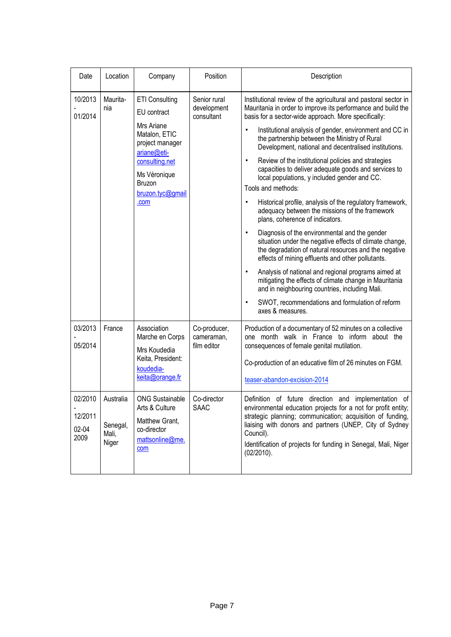| Date                                | Location                                | Company                                                                                                                                                                       | Position                                  | Description                                                                                                                                                                                                                                                                                                                                                                                                                                                                                                                                                                                                                                                                                                                                                                                                                                                                                                                                                                                                                                                                                                                                                                                              |
|-------------------------------------|-----------------------------------------|-------------------------------------------------------------------------------------------------------------------------------------------------------------------------------|-------------------------------------------|----------------------------------------------------------------------------------------------------------------------------------------------------------------------------------------------------------------------------------------------------------------------------------------------------------------------------------------------------------------------------------------------------------------------------------------------------------------------------------------------------------------------------------------------------------------------------------------------------------------------------------------------------------------------------------------------------------------------------------------------------------------------------------------------------------------------------------------------------------------------------------------------------------------------------------------------------------------------------------------------------------------------------------------------------------------------------------------------------------------------------------------------------------------------------------------------------------|
| 10/2013<br>01/2014                  | Maurita-<br>nia                         | <b>ETI Consulting</b><br>EU contract<br>Mrs Ariane<br>Matalon, ETIC<br>project manager<br>ariane@eti-<br>consulting.net<br>Ms Véronique<br>Bruzon<br>bruzon.tyc@gmail<br>.com | Senior rural<br>development<br>consultant | Institutional review of the agricultural and pastoral sector in<br>Mauritania in order to improve its performance and build the<br>basis for a sector-wide approach. More specifically:<br>Institutional analysis of gender, environment and CC in<br>٠<br>the partnership between the Ministry of Rural<br>Development, national and decentralised institutions.<br>Review of the institutional policies and strategies<br>٠<br>capacities to deliver adequate goods and services to<br>local populations, y included gender and CC.<br>Tools and methods:<br>Historical profile, analysis of the regulatory framework,<br>adequacy between the missions of the framework<br>plans, coherence of indicators.<br>Diagnosis of the environmental and the gender<br>situation under the negative effects of climate change,<br>the degradation of natural resources and the negative<br>effects of mining effluents and other pollutants.<br>Analysis of national and regional programs aimed at<br>$\blacksquare$<br>mitigating the effects of climate change in Mauritania<br>and in neighbouring countries, including Mali.<br>SWOT, recommendations and formulation of reform<br>٠<br>axes & measures. |
| 03/2013<br>05/2014                  | France                                  | Association<br>Marche en Corps<br>Mrs Koudedia<br>Keita, President:<br>koudedia-<br>keita@orange.fr                                                                           | Co-producer,<br>cameraman,<br>film editor | Production of a documentary of 52 minutes on a collective<br>one month walk in France to inform about the<br>consequences of female genital mutilation.<br>Co-production of an educative film of 26 minutes on FGM.<br>teaser-abandon-excision-2014                                                                                                                                                                                                                                                                                                                                                                                                                                                                                                                                                                                                                                                                                                                                                                                                                                                                                                                                                      |
| 02/2010<br>12/2011<br>02-04<br>2009 | Australia<br>Senegal,<br>Mali,<br>Niger | <b>ONG Sustainable</b><br>Arts & Culture<br>Matthew Grant,<br>co-director<br>mattsonline@me.<br>com                                                                           | Co-director<br><b>SAAC</b>                | Definition of future direction and implementation of<br>environmental education projects for a not for profit entity;<br>strategic planning; communication; acquisition of funding,<br>liaising with donors and partners (UNEP, City of Sydney<br>Council).<br>Identification of projects for funding in Senegal, Mali, Niger<br>$(02/2010)$ .                                                                                                                                                                                                                                                                                                                                                                                                                                                                                                                                                                                                                                                                                                                                                                                                                                                           |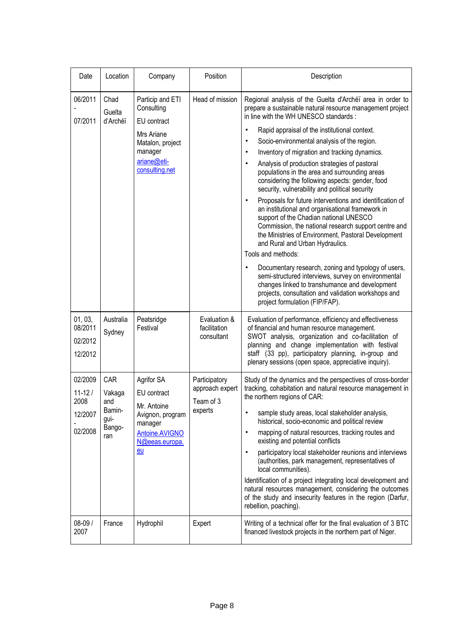| Date                                                | Location                                                | Company                                                                                                                     | Position                                                 | Description                                                                                                                                                                                                                                                                                                                                                                                                                                                                                                                                                                                                                                                                                                                                                                                                                                                                                                                                                                                                                                                                                                                                                    |
|-----------------------------------------------------|---------------------------------------------------------|-----------------------------------------------------------------------------------------------------------------------------|----------------------------------------------------------|----------------------------------------------------------------------------------------------------------------------------------------------------------------------------------------------------------------------------------------------------------------------------------------------------------------------------------------------------------------------------------------------------------------------------------------------------------------------------------------------------------------------------------------------------------------------------------------------------------------------------------------------------------------------------------------------------------------------------------------------------------------------------------------------------------------------------------------------------------------------------------------------------------------------------------------------------------------------------------------------------------------------------------------------------------------------------------------------------------------------------------------------------------------|
| 06/2011<br>07/2011                                  | Chad<br>Guelta<br>d'Archéï                              | Particip and ETI<br>Consulting<br>EU contract<br>Mrs Ariane<br>Matalon, project<br>manager<br>ariane@eti-<br>consulting.net | Head of mission                                          | Regional analysis of the Guelta d'Archéï area in order to<br>prepare a sustainable natural resource management project<br>in line with the WH UNESCO standards :<br>Rapid appraisal of the institutional context.<br>٠<br>Socio-environmental analysis of the region.<br>٠<br>Inventory of migration and tracking dynamics.<br>٠<br>Analysis of production strategies of pastoral<br>٠<br>populations in the area and surrounding areas<br>considering the following aspects: gender, food<br>security, vulnerability and political security<br>Proposals for future interventions and identification of<br>$\blacksquare$<br>an institutional and organisational framework in<br>support of the Chadian national UNESCO<br>Commission, the national research support centre and<br>the Ministries of Environment, Pastoral Development<br>and Rural and Urban Hydraulics.<br>Tools and methods:<br>Documentary research, zoning and typology of users,<br>٠<br>semi-structured interviews, survey on environmental<br>changes linked to transhumance and development<br>projects, consultation and validation workshops and<br>project formulation (FIP/FAP). |
| 01, 03,<br>08/2011<br>02/2012<br>12/2012            | Australia<br>Sydney                                     | Peatsridge<br>Festival                                                                                                      | Evaluation &<br>facilitation<br>consultant               | Evaluation of performance, efficiency and effectiveness<br>of financial and human resource management.<br>SWOT analysis, organization and co-facilitation of<br>planning and change implementation with festival<br>staff (33 pp), participatory planning, in-group and<br>plenary sessions (open space, appreciative inquiry).                                                                                                                                                                                                                                                                                                                                                                                                                                                                                                                                                                                                                                                                                                                                                                                                                                |
| 02/2009<br>$11 - 12/$<br>2008<br>12/2007<br>02/2008 | CAR<br>Vakaga<br>and<br>Bamin-<br>gui-<br>Bango-<br>ran | Agrifor SA<br>EU contract<br>Mr. Antoine<br>Avignon, program<br>manager<br><b>Antoine.AVIGNO</b><br>N@eeas.europa.<br>eu    | Participatory<br>approach expert<br>Team of 3<br>experts | Study of the dynamics and the perspectives of cross-border<br>tracking, cohabitation and natural resource management in<br>the northern regions of CAR:<br>sample study areas, local stakeholder analysis,<br>٠<br>historical, socio-economic and political review<br>mapping of natural resources, tracking routes and<br>$\blacksquare$<br>existing and potential conflicts<br>participatory local stakeholder reunions and interviews<br>٠<br>(authorities, park management, representatives of<br>local communities).<br>Identification of a project integrating local development and<br>natural resources management, considering the outcomes<br>of the study and insecurity features in the region (Darfur,<br>rebellion, poaching).                                                                                                                                                                                                                                                                                                                                                                                                                   |
| 08-09 /<br>2007                                     | France                                                  | Hydrophil                                                                                                                   | Expert                                                   | Writing of a technical offer for the final evaluation of 3 BTC<br>financed livestock projects in the northern part of Niger.                                                                                                                                                                                                                                                                                                                                                                                                                                                                                                                                                                                                                                                                                                                                                                                                                                                                                                                                                                                                                                   |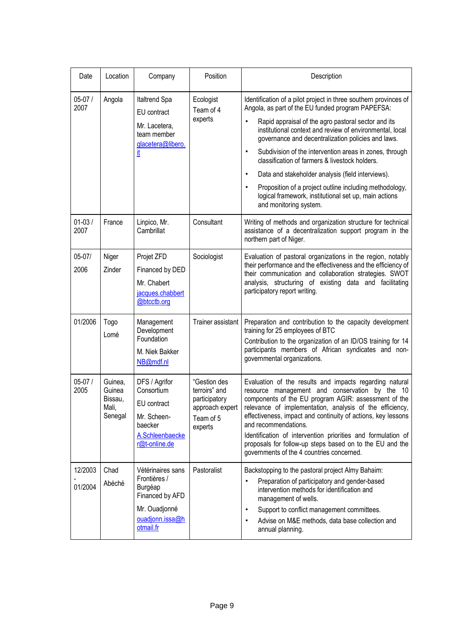| Date               | Location                                         | Company                                                                                                          | Position                                                                                  | Description                                                                                                                                                                                                                                                                                                                                                                                                                                                                                                                                                                                                                                             |
|--------------------|--------------------------------------------------|------------------------------------------------------------------------------------------------------------------|-------------------------------------------------------------------------------------------|---------------------------------------------------------------------------------------------------------------------------------------------------------------------------------------------------------------------------------------------------------------------------------------------------------------------------------------------------------------------------------------------------------------------------------------------------------------------------------------------------------------------------------------------------------------------------------------------------------------------------------------------------------|
| $05-07/$<br>2007   | Angola                                           | Italtrend Spa<br>EU contract<br>Mr. Lacetera,<br>team member<br>glacetera@libero.<br>it                          | Ecologist<br>Team of 4<br>experts                                                         | Identification of a pilot project in three southern provinces of<br>Angola, as part of the EU funded program PAPEFSA:<br>Rapid appraisal of the agro pastoral sector and its<br>institutional context and review of environmental, local<br>governance and decentralization policies and laws.<br>Subdivision of the intervention areas in zones, through<br>٠<br>classification of farmers & livestock holders.<br>Data and stakeholder analysis (field interviews).<br>$\blacksquare$<br>Proposition of a project outline including methodology,<br>$\blacksquare$<br>logical framework, institutional set up, main actions<br>and monitoring system. |
| $01 - 03/$<br>2007 | France                                           | Linpico, Mr.<br>Cambrillat                                                                                       | Consultant                                                                                | Writing of methods and organization structure for technical<br>assistance of a decentralization support program in the<br>northern part of Niger.                                                                                                                                                                                                                                                                                                                                                                                                                                                                                                       |
| $05 - 07/$<br>2006 | Niger<br>Zinder                                  | Projet ZFD<br>Financed by DED<br>Mr. Chabert<br>jacques.chabbert<br>@btcctb.org                                  | Sociologist                                                                               | Evaluation of pastoral organizations in the region, notably<br>their performance and the effectiveness and the efficiency of<br>their communication and collaboration strategies. SWOT<br>analysis, structuring of existing data and facilitating<br>participatory report writing.                                                                                                                                                                                                                                                                                                                                                                      |
| 01/2006            | Togo<br>Lomé                                     | Management<br>Development<br>Foundation<br>M. Niek Bakker<br>NB@mdf.nl                                           | <b>Trainer assistant</b>                                                                  | Preparation and contribution to the capacity development<br>training for 25 employees of BTC<br>Contribution to the organization of an ID/OS training for 14<br>participants members of African syndicates and non-<br>governmental organizations.                                                                                                                                                                                                                                                                                                                                                                                                      |
| $05-07/$<br>2005   | Guinea,<br>Guinea<br>Bissau,<br>Mali,<br>Senegal | DFS / Agrifor<br>Consortium<br>EU contract<br>Mr. Scheen-<br>baecker<br>A.Schleenbaecke<br>r@t-online.de         | "Gestion des<br>terroirs" and<br>participatory<br>approach expert<br>Team of 5<br>experts | Evaluation of the results and impacts regarding natural<br>resource management and conservation by the 10<br>components of the EU program AGIR: assessment of the<br>relevance of implementation, analysis of the efficiency,<br>effectiveness, impact and continuity of actions, key lessons<br>and recommendations.<br>Identification of intervention priorities and formulation of<br>proposals for follow-up steps based on to the EU and the<br>governments of the 4 countries concerned.                                                                                                                                                          |
| 12/2003<br>01/2004 | Chad<br>Abéché                                   | Vétérinaires sans<br>Frontières /<br>Burgéap<br>Financed by AFD<br>Mr. Ouadjonné<br>ouadjonn.issa@h<br>otmail.fr | Pastoralist                                                                               | Backstopping to the pastoral project Almy Bahaim:<br>Preparation of participatory and gender-based<br>$\blacksquare$<br>intervention methods for identification and<br>management of wells.<br>Support to conflict management committees.<br>$\blacksquare$<br>Advise on M&E methods, data base collection and<br>٠<br>annual planning.                                                                                                                                                                                                                                                                                                                 |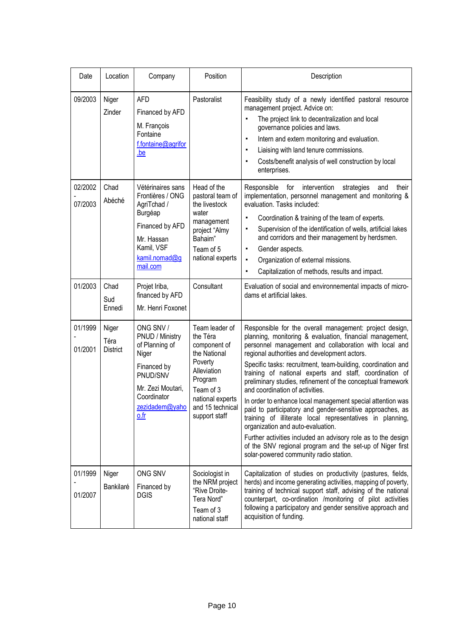| Date               | Location                         | Company                                                                                                                                          | Position                                                                                                                                                              | Description                                                                                                                                                                                                                                                                                                                                                                                                                                                                                                                                                                                                                                                                                                                                                                                                                                                    |
|--------------------|----------------------------------|--------------------------------------------------------------------------------------------------------------------------------------------------|-----------------------------------------------------------------------------------------------------------------------------------------------------------------------|----------------------------------------------------------------------------------------------------------------------------------------------------------------------------------------------------------------------------------------------------------------------------------------------------------------------------------------------------------------------------------------------------------------------------------------------------------------------------------------------------------------------------------------------------------------------------------------------------------------------------------------------------------------------------------------------------------------------------------------------------------------------------------------------------------------------------------------------------------------|
| 09/2003            | Niger<br>Zinder                  | AFD<br>Financed by AFD<br>M. François<br>Fontaine<br>f.fontaine@agrifor<br>be                                                                    | Pastoralist                                                                                                                                                           | Feasibility study of a newly identified pastoral resource<br>management project. Advice on:<br>The project link to decentralization and local<br>$\blacksquare$<br>governance policies and laws.<br>Intern and extern monitoring and evaluation.<br>٠<br>Liaising with land tenure commissions.<br>$\blacksquare$<br>Costs/benefit analysis of well construction by local<br>٠<br>enterprises.                                                                                                                                                                                                                                                                                                                                                                                                                                                                 |
| 02/2002<br>07/2003 | Chad<br>Abéché                   | Vétérinaires sans<br>Frontières / ONG<br>AgriTchad /<br>Burgéap<br>Financed by AFD<br>Mr. Hassan<br>Kamil, VSF<br>kamil.nomad@q<br>mail.com      | Head of the<br>pastoral team of<br>the livestock<br>water<br>management<br>project "Almy<br>Bahaim"<br>Team of 5<br>national experts                                  | Responsible for<br>intervention<br>strategies<br>and<br>their<br>implementation, personnel management and monitoring &<br>evaluation. Tasks included:<br>Coordination & training of the team of experts.<br>٠<br>Supervision of the identification of wells, artificial lakes<br>٠<br>and corridors and their management by herdsmen.<br>Gender aspects.<br>$\blacksquare$<br>Organization of external missions.<br>$\blacksquare$<br>Capitalization of methods, results and impact.<br>$\blacksquare$                                                                                                                                                                                                                                                                                                                                                         |
| 01/2003            | Chad<br>Sud<br>Ennedi            | Projet Iriba,<br>financed by AFD<br>Mr. Henri Foxonet                                                                                            | Consultant                                                                                                                                                            | Evaluation of social and environnemental impacts of micro-<br>dams et artificial lakes.                                                                                                                                                                                                                                                                                                                                                                                                                                                                                                                                                                                                                                                                                                                                                                        |
| 01/1999<br>01/2001 | Niger<br>Téra<br><b>District</b> | ONG SNV /<br>PNUD / Ministry<br>of Planning of<br>Niger<br>Financed by<br>PNUD/SNV<br>Mr. Zezi Moutari,<br>Coordinator<br>zezidadem@yaho<br>0.fr | Team leader of<br>the Téra<br>component of<br>the National<br>Poverty<br>Alleviation<br>Program<br>Team of 3<br>national experts<br>and 15 technical<br>support staff | Responsible for the overall management: project design,<br>planning, monitoring & evaluation, financial management,<br>personnel management and collaboration with local and<br>regional authorities and development actors.<br>Specific tasks: recruitment, team-building, coordination and<br>training of national experts and staff, coordination of<br>preliminary studies, refinement of the conceptual framework<br>and coordination of activities.<br>In order to enhance local management special attention was<br>paid to participatory and gender-sensitive approaches, as<br>training of illiterate local representatives in planning,<br>organization and auto-evaluation.<br>Further activities included an advisory role as to the design<br>of the SNV regional program and the set-up of Niger first<br>solar-powered community radio station. |
| 01/1999<br>01/2007 | Niger<br>Bankilaré               | ONG SNV<br>Financed by<br><b>DGIS</b>                                                                                                            | Sociologist in<br>the NRM project<br>"Rive Droite-<br>Tera Nord"<br>Team of 3<br>national staff                                                                       | Capitalization of studies on productivity (pastures, fields,<br>herds) and income generating activities, mapping of poverty,<br>training of technical support staff, advising of the national<br>counterpart, co-ordination /monitoring of pilot activities<br>following a participatory and gender sensitive approach and<br>acquisition of funding.                                                                                                                                                                                                                                                                                                                                                                                                                                                                                                          |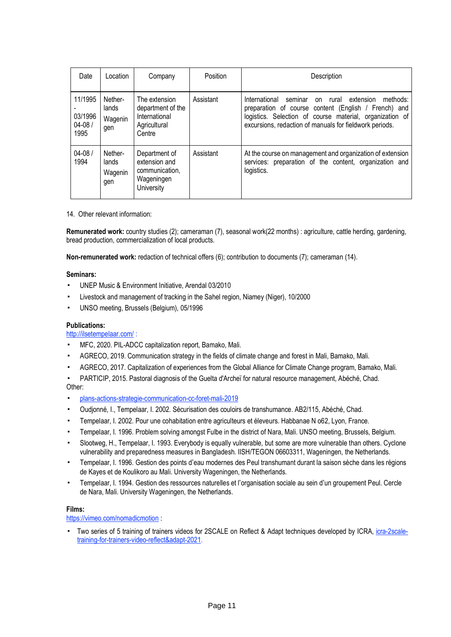| Date                                     | Location                           | Company                                                                       | Position  | Description                                                                                                                                                                                                                                     |
|------------------------------------------|------------------------------------|-------------------------------------------------------------------------------|-----------|-------------------------------------------------------------------------------------------------------------------------------------------------------------------------------------------------------------------------------------------------|
| 11/1995<br>03/1996<br>$04 - 08/$<br>1995 | Nether-<br>lands<br>Wagenin<br>gen | The extension<br>department of the<br>International<br>Agricultural<br>Centre | Assistant | International<br>seminar<br>extension<br>rural<br>methods:<br>on<br>preparation of course content (English / French) and<br>logistics. Selection of course material, organization of<br>excursions, redaction of manuals for fieldwork periods. |
| $04 - 08/$<br>1994                       | Nether-<br>lands<br>Wagenin<br>gen | Department of<br>extension and<br>communication,<br>Wageningen<br>University  | Assistant | At the course on management and organization of extension<br>services: preparation of the content, organization and<br>logistics.                                                                                                               |

14. Other relevant information:

**Remunerated work:** country studies (2); cameraman (7), seasonal work(22 months) : agriculture, cattle herding, gardening, bread production, commercialization of local products.

**Non-remunerated work:** redaction of technical offers (6); contribution to documents (7); cameraman (14).

#### **Seminars:**

- UNEP Music & Environment Initiative, Arendal 03/2010
- Livestock and management of tracking in the Sahel region, Niamey (Niger), 10/2000
- UNSO meeting, Brussels (Belgium), 05/1996

## **Publications:**

## <http://ilsetempelaar.com/> :

- MFC, 2020. PIL-ADCC capitalization report, Bamako, Mali.
- AGRECO, 2019. Communication strategy in the fields of climate change and forest in Mali, Bamako, Mali.
- AGRECO, 2017. Capitalization of experiences from the Global Alliance for Climate Change program, Bamako, Mali.
- PARTICIP, 2015. Pastoral diagnosis of the Guelta d'Archeï for natural resource management, Abéché, Chad.

Other:

- [plans-actions-strategie-communication-cc-foret-mali-2019](https://drive.google.com/drive/folders/1uhM2wN-3Ivbj8zCbgk1ivaDWQo7Un2YN)
- Oudjonné, I., Tempelaar, I. 2002. Sécurisation des couloirs de transhumance. AB2/115, Abéché, Chad.
- Tempelaar, I. 2002. Pour une cohabitation entre agriculteurs et éleveurs. Habbanae N 062, Lyon, France.
- Tempelaar, I. 1996. Problem solving amongst Fulbe in the district of Nara, Mali. UNSO meeting, Brussels, Belgium.
- Slootweg, H., Tempelaar, I. 1993. Everybody is equally vulnerable, but some are more vulnerable than others. Cyclone vulnerability and preparedness measures in Bangladesh. IISH/TEGON 06603311, Wageningen, the Netherlands.
- Tempelaar, I. 1996. Gestion des points d'eau modernes des Peul transhumant durant la saison sèche dans les régions de Kayes et de Koulikoro au Mali. University Wageningen, the Netherlands.
- Tempelaar, I. 1994. Gestion des ressources naturelles et l'organisation sociale au sein d'un groupement Peul. Cercle de Nara, Mali. University Wageningen, the Netherlands.

## **Films:**

<https://vimeo.com/nomadicmotion>

**•** Two series of 5 training of trainers videos for 2SCALE on Reflect & Adapt techniques developed by ICRA, *[icra-2scale](https://vimeo.com/646006388)*[training-for-trainers-video-reflect&adapt-2021.](https://vimeo.com/646006388)